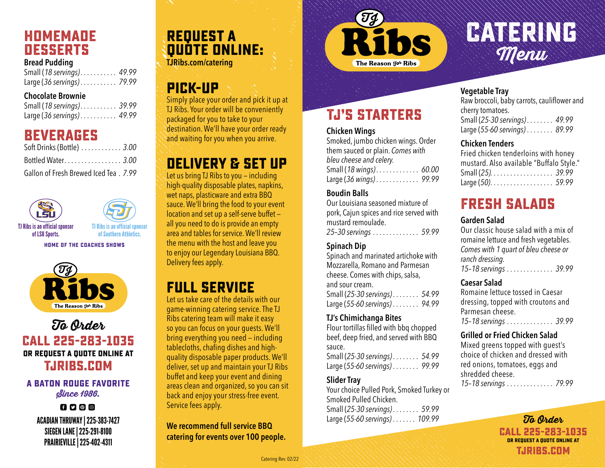### **Homemade Desserts**

#### **Bread Pudding**

Small (*18 servings). . . 49.99* Large (*36 servings). . . 79.99*

#### **Chocolate Brownie**

Small (*18 servings). . . 39.99* Large (*36 servings). . . 49.99*

### **Beverages**

| Soft Drinks (Bottle)  3.00            |  |
|---------------------------------------|--|
| Bottled Water 3.00                    |  |
| Gallon of Fresh Brewed Iced Tea. 7.99 |  |



TJ Ribs is an official sponsor of Southern Athletics.

**HOME OF THE COACHES SHOWS**



#### To Order **CAll 225-283-1035 or Request a quote online at TJRIBs.com**

#### **A BATON ROUGE FAVORITE** Since 1986.

 $f$  $f$  $f$  $g$  $g$  $g$ ACADIAN THRUWAY | 225-383-7427 SIEGEN LANE | 225-291-8100 PRAIRIEVILLE | 225-402-4311

# **Request a quote online:**

**TJRibs.com/catering**

## **Pick-Up**

Simply place your order and pick it up at TJ Ribs. Your order will be conveniently packaged for you to take to your destination. We'll have your order ready and waiting for you when you arrive.

## **Delivery & Set Up**

Let us bring TJ Ribs to you — including high-quality disposable plates, napkins, wet naps, plasticware and extra BBQ sauce. We'll bring the food to your event location and set up a self-serve buffet all you need to do is provide an empty area and tables for service. We'll review the menu with the host and leave you to enjoy our Legendary Louisiana BBQ. Delivery fees apply.

## **Full Service**

Let us take care of the details with our game-winning catering service. The TJ Ribs catering team will make it easy so you can focus on your guests. We'll bring everything you need — including tablecloths, chafing dishes and highquality disposable paper products. We'll deliver, set up and maintain your TJ Ribs buffet and keep your event and dining areas clean and organized, so you can sit back and enjoy your stress-free event. Service fees apply.

**We recommend full service BBQ catering for events over 100 people.**



**TJ's Starters**

Smoked, jumbo chicken wings. Order them sauced or plain. *Comes with* 

Small (*18 wings). . . 60.00* Large (*36 wings). . . 99.99*

Our Louisiana seasoned mixture of pork, Cajun spices and rice served with

*25–30 servings. . . 59.99*

Spinach and marinated artichoke with Mozzarella, Romano and Parmesan cheese. Comes with chips, salsa,

Small (*25-30 servings). . . 54.99* Large (*55-60 servings). . . 94.99*

Flour tortillas filled with bbq chopped beef, deep fried, and served with BBQ

Small (*25-30 servings). . . 54.99* Large (*55-60 servings). . . 99.99*

Your choice Pulled Pork, Smoked Turkey or

Small (*25-30 servings). . . 59.99* Large (*55-60 servings). . . 109.99*

**Chicken Wings**

**Boudin Balls**

**Spinach Dip**

and sour cream.

sauce.

**Slider Tray**

**TJ's Chimichanga Bites**

Smoked Pulled Chicken.

mustard remoulade.

*bleu cheese and celery.*

# **Catering** Menu

#### **Vegetable Tray**

Raw broccoli, baby carrots, cauliflower and cherry tomatoes. Small (*25-30 servings). . . 49.99*

Large (*55-60 servings). . . 89.99* 

#### **Chicken Tenders**

Fried chicken tenderloins with honey mustard. Also available "Buffalo Style." Small (*25). . . . . . . . . . . . . . . . . . . 39.99* Large (*50). . . 59.99*

## **Fresh Salads**

#### **Garden Salad**

Our classic house salad with a mix of romaine lettuce and fresh vegetables. *Comes with 1 quart of bleu cheese or ranch dressing. 15–18 servings. . . 39.99*

#### **Caesar Salad**

Romaine lettuce tossed in Caesar dressing, topped with croutons and Parmesan cheese. *15–18 servings. . . 39.99*

#### **Grilled or Fried Chicken Salad**

Mixed greens topped with guest's choice of chicken and dressed with red onions, tomatoes, eggs and shredded cheese. *15–18 servings. . . 79.99*

> To Order **CAll 225-283-1035 or Request a quote online at TJRIBs.com**